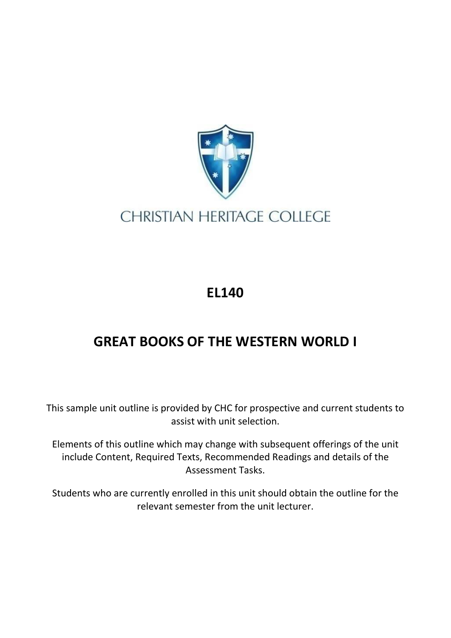

## **CHRISTIAN HERITAGE COLLEGE**

## **EL140**

## **GREAT BOOKS OF THE WESTERN WORLD I**

This sample unit outline is provided by CHC for prospective and current students to assist with unit selection.

Elements of this outline which may change with subsequent offerings of the unit include Content, Required Texts, Recommended Readings and details of the Assessment Tasks.

Students who are currently enrolled in this unit should obtain the outline for the relevant semester from the unit lecturer.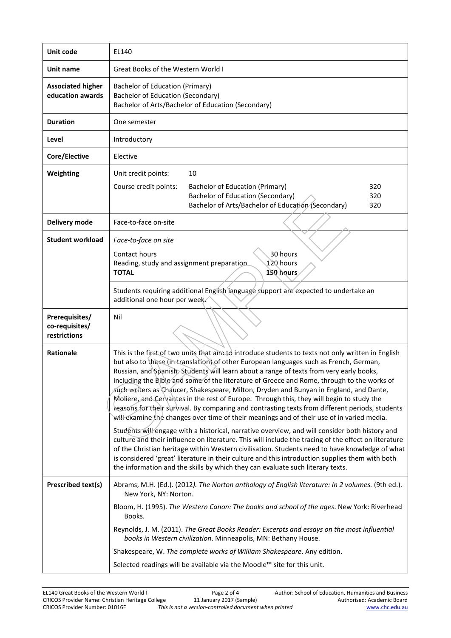| Unit code                                        | EL140                                                                                                                                                                                                                                                                                                                                                                                                                                                                                                                                                                                                                                                                                                                                                                                                                                                                                                                                                                                                                                                                                                                                                                                                                                                                        |  |  |
|--------------------------------------------------|------------------------------------------------------------------------------------------------------------------------------------------------------------------------------------------------------------------------------------------------------------------------------------------------------------------------------------------------------------------------------------------------------------------------------------------------------------------------------------------------------------------------------------------------------------------------------------------------------------------------------------------------------------------------------------------------------------------------------------------------------------------------------------------------------------------------------------------------------------------------------------------------------------------------------------------------------------------------------------------------------------------------------------------------------------------------------------------------------------------------------------------------------------------------------------------------------------------------------------------------------------------------------|--|--|
| Unit name                                        | Great Books of the Western World I                                                                                                                                                                                                                                                                                                                                                                                                                                                                                                                                                                                                                                                                                                                                                                                                                                                                                                                                                                                                                                                                                                                                                                                                                                           |  |  |
| <b>Associated higher</b><br>education awards     | <b>Bachelor of Education (Primary)</b><br><b>Bachelor of Education (Secondary)</b><br>Bachelor of Arts/Bachelor of Education (Secondary)                                                                                                                                                                                                                                                                                                                                                                                                                                                                                                                                                                                                                                                                                                                                                                                                                                                                                                                                                                                                                                                                                                                                     |  |  |
| <b>Duration</b>                                  | One semester                                                                                                                                                                                                                                                                                                                                                                                                                                                                                                                                                                                                                                                                                                                                                                                                                                                                                                                                                                                                                                                                                                                                                                                                                                                                 |  |  |
| Level                                            | Introductory                                                                                                                                                                                                                                                                                                                                                                                                                                                                                                                                                                                                                                                                                                                                                                                                                                                                                                                                                                                                                                                                                                                                                                                                                                                                 |  |  |
| Core/Elective                                    | Elective                                                                                                                                                                                                                                                                                                                                                                                                                                                                                                                                                                                                                                                                                                                                                                                                                                                                                                                                                                                                                                                                                                                                                                                                                                                                     |  |  |
| Weighting                                        | Unit credit points:<br>10                                                                                                                                                                                                                                                                                                                                                                                                                                                                                                                                                                                                                                                                                                                                                                                                                                                                                                                                                                                                                                                                                                                                                                                                                                                    |  |  |
|                                                  | Course credit points:<br>Bachelor of Education (Primary)<br>320<br><b>Bachelor of Education (Secondary)</b><br>320<br>Bachelor of Arts/Bachelor of Education (Secondary)<br>320                                                                                                                                                                                                                                                                                                                                                                                                                                                                                                                                                                                                                                                                                                                                                                                                                                                                                                                                                                                                                                                                                              |  |  |
| Delivery mode                                    | Face-to-face on-site                                                                                                                                                                                                                                                                                                                                                                                                                                                                                                                                                                                                                                                                                                                                                                                                                                                                                                                                                                                                                                                                                                                                                                                                                                                         |  |  |
| <b>Student workload</b>                          | Face-to-face on site                                                                                                                                                                                                                                                                                                                                                                                                                                                                                                                                                                                                                                                                                                                                                                                                                                                                                                                                                                                                                                                                                                                                                                                                                                                         |  |  |
|                                                  | 30 hours<br>Contact hours<br>120 hours<br>Reading, study and assignment preparation<br><b>TOTAL</b><br>150 hours                                                                                                                                                                                                                                                                                                                                                                                                                                                                                                                                                                                                                                                                                                                                                                                                                                                                                                                                                                                                                                                                                                                                                             |  |  |
|                                                  | Students requiring additional English language support are expected to undertake an<br>additional one hour per week.                                                                                                                                                                                                                                                                                                                                                                                                                                                                                                                                                                                                                                                                                                                                                                                                                                                                                                                                                                                                                                                                                                                                                         |  |  |
|                                                  | Nil                                                                                                                                                                                                                                                                                                                                                                                                                                                                                                                                                                                                                                                                                                                                                                                                                                                                                                                                                                                                                                                                                                                                                                                                                                                                          |  |  |
| Prerequisites/<br>co-requisites/<br>restrictions |                                                                                                                                                                                                                                                                                                                                                                                                                                                                                                                                                                                                                                                                                                                                                                                                                                                                                                                                                                                                                                                                                                                                                                                                                                                                              |  |  |
| <b>Rationale</b>                                 | This is the first of two units that aim to introduce students to texts not only written in English<br>but also to those (in translation) of other European languages such as French, German,<br>Russian, and Spanish, Students will learn about a range of texts from very early books,<br>including the Bible and some of the literature of Greece and Rome, through to the works of<br>such writers as Chaucer, Shakespeare, Milton, Dryden and Bunyan in England, and Dante,<br>Moliere, and Cervantes in the rest of Europe. Through this, they will begin to study the<br>reasons for their survival. By comparing and contrasting texts from different periods, students<br>will examine the changes over time of their meanings and of their use of in varied media.<br>Students will engage with a historical, narrative overview, and will consider both history and<br>culture and their influence on literature. This will include the tracing of the effect on literature<br>of the Christian heritage within Western civilisation. Students need to have knowledge of what<br>is considered 'great' literature in their culture and this introduction supplies them with both<br>the information and the skills by which they can evaluate such literary texts. |  |  |
| Prescribed text(s)                               | Abrams, M.H. (Ed.). (2012). The Norton anthology of English literature: In 2 volumes. (9th ed.).<br>New York, NY: Norton.                                                                                                                                                                                                                                                                                                                                                                                                                                                                                                                                                                                                                                                                                                                                                                                                                                                                                                                                                                                                                                                                                                                                                    |  |  |
|                                                  | Bloom, H. (1995). The Western Canon: The books and school of the ages. New York: Riverhead<br>Books.<br>Reynolds, J. M. (2011). The Great Books Reader: Excerpts and essays on the most influential<br>books in Western civilization. Minneapolis, MN: Bethany House.                                                                                                                                                                                                                                                                                                                                                                                                                                                                                                                                                                                                                                                                                                                                                                                                                                                                                                                                                                                                        |  |  |
|                                                  | Shakespeare, W. The complete works of William Shakespeare. Any edition.                                                                                                                                                                                                                                                                                                                                                                                                                                                                                                                                                                                                                                                                                                                                                                                                                                                                                                                                                                                                                                                                                                                                                                                                      |  |  |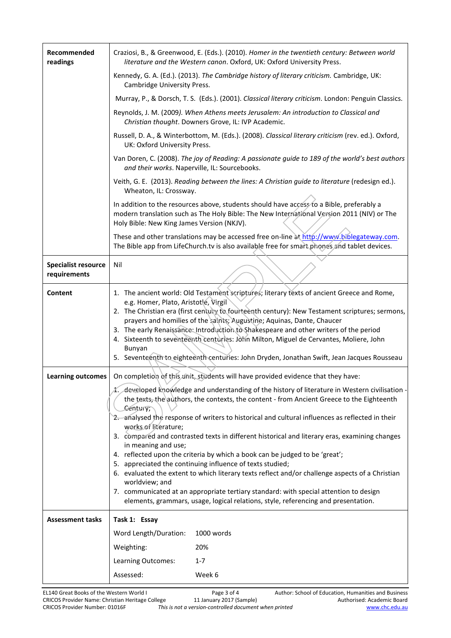| Recommended<br>readings                    | Craziosi, B., & Greenwood, E. (Eds.). (2010). Homer in the twentieth century: Between world<br>literature and the Western canon. Oxford, UK: Oxford University Press.                                                                                                                                                                                                                                                                                                                                                                                                                                     |  |  |
|--------------------------------------------|-----------------------------------------------------------------------------------------------------------------------------------------------------------------------------------------------------------------------------------------------------------------------------------------------------------------------------------------------------------------------------------------------------------------------------------------------------------------------------------------------------------------------------------------------------------------------------------------------------------|--|--|
|                                            | Kennedy, G. A. (Ed.). (2013). The Cambridge history of literary criticism. Cambridge, UK:<br>Cambridge University Press.                                                                                                                                                                                                                                                                                                                                                                                                                                                                                  |  |  |
|                                            | Murray, P., & Dorsch, T. S. (Eds.). (2001). Classical literary criticism. London: Penguin Classics.                                                                                                                                                                                                                                                                                                                                                                                                                                                                                                       |  |  |
|                                            | Reynolds, J. M. (2009). When Athens meets Jerusalem: An introduction to Classical and<br>Christian thought. Downers Grove, IL: IVP Academic.                                                                                                                                                                                                                                                                                                                                                                                                                                                              |  |  |
|                                            | Russell, D. A., & Winterbottom, M. (Eds.). (2008). Classical literary criticism (rev. ed.). Oxford,<br>UK: Oxford University Press.                                                                                                                                                                                                                                                                                                                                                                                                                                                                       |  |  |
|                                            | Van Doren, C. (2008). The joy of Reading: A passionate guide to 189 of the world's best authors<br>and their works. Naperville, IL: Sourcebooks.                                                                                                                                                                                                                                                                                                                                                                                                                                                          |  |  |
|                                            | Veith, G. E. (2013). Reading between the lines: A Christian guide to literature (redesign ed.).<br>Wheaton, IL: Crossway.                                                                                                                                                                                                                                                                                                                                                                                                                                                                                 |  |  |
|                                            | In addition to the resources above, students should have access to a Bible, preferably a<br>modern translation such as The Holy Bible: The New International Version 2011 (NIV) or The<br>Holy Bible: New King James Version (NKJV).                                                                                                                                                                                                                                                                                                                                                                      |  |  |
|                                            | These and other translations may be accessed free on-line at http://www.biblegateway.com.<br>The Bible app from LifeChurch.tv is also available free for smart phones and tablet devices.                                                                                                                                                                                                                                                                                                                                                                                                                 |  |  |
| <b>Specialist resource</b><br>requirements | Nil                                                                                                                                                                                                                                                                                                                                                                                                                                                                                                                                                                                                       |  |  |
| Content                                    | 1. The ancient world: Old Testament scriptures; literary texts of ancient Greece and Rome,<br>e.g. Homer, Plato, Aristotle, Virgil<br>2. The Christian era (first century to fourteenth century): New Testament scriptures; sermons,<br>prayers and homilies of the saints; Augustine; Aquinas, Dante, Chaucer<br>3. The early Renaissance: Introduction to Shakespeare and other writers of the period<br>4. Sixteenth to seventeenth centuries: John Milton, Miguel de Cervantes, Moliere, John<br>Bunyan<br>5. Seventeenth to eighteenth centuries: John Dryden, Jonathan Swift, Jean Jacques Rousseau |  |  |
| <b>Learning outcomes</b>                   | On completion of this unit, students will have provided evidence that they have:                                                                                                                                                                                                                                                                                                                                                                                                                                                                                                                          |  |  |
|                                            | developed knowledge and understanding of the history of literature in Western civilisation -<br>the texts, the authors, the contexts, the content - from Ancient Greece to the Eighteenth<br>Century;<br>2. analysed the response of writers to historical and cultural influences as reflected in their<br>works of literature;                                                                                                                                                                                                                                                                          |  |  |
|                                            | 3. compared and contrasted texts in different historical and literary eras, examining changes<br>in meaning and use;<br>4. reflected upon the criteria by which a book can be judged to be 'great';<br>5. appreciated the continuing influence of texts studied;<br>6. evaluated the extent to which literary texts reflect and/or challenge aspects of a Christian                                                                                                                                                                                                                                       |  |  |
|                                            |                                                                                                                                                                                                                                                                                                                                                                                                                                                                                                                                                                                                           |  |  |
|                                            |                                                                                                                                                                                                                                                                                                                                                                                                                                                                                                                                                                                                           |  |  |
|                                            | worldview; and<br>7. communicated at an appropriate tertiary standard: with special attention to design                                                                                                                                                                                                                                                                                                                                                                                                                                                                                                   |  |  |
|                                            | elements, grammars, usage, logical relations, style, referencing and presentation.                                                                                                                                                                                                                                                                                                                                                                                                                                                                                                                        |  |  |
| <b>Assessment tasks</b>                    | Task 1: Essay                                                                                                                                                                                                                                                                                                                                                                                                                                                                                                                                                                                             |  |  |
|                                            | Word Length/Duration:<br>1000 words                                                                                                                                                                                                                                                                                                                                                                                                                                                                                                                                                                       |  |  |
|                                            | Weighting:<br>20%                                                                                                                                                                                                                                                                                                                                                                                                                                                                                                                                                                                         |  |  |
|                                            | $1 - 7$<br>Learning Outcomes:                                                                                                                                                                                                                                                                                                                                                                                                                                                                                                                                                                             |  |  |
|                                            | Assessed:<br>Week 6                                                                                                                                                                                                                                                                                                                                                                                                                                                                                                                                                                                       |  |  |